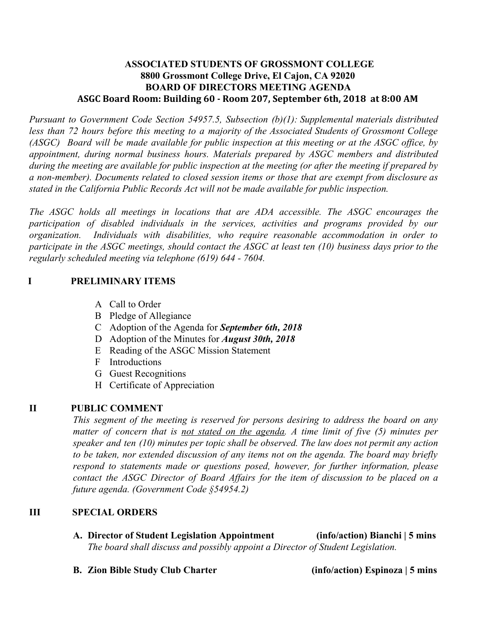## **ASSOCIATED STUDENTS OF GROSSMONT COLLEGE 8800 Grossmont College Drive, El Cajon, CA 92020 BOARD OF DIRECTORS MEETING AGENDA ASGC Board Room: Building 60 - Room 207, September 6th, 2018 at 8:00 AM**

*Pursuant to Government Code Section 54957.5, Subsection (b)(1): Supplemental materials distributed less than 72 hours before this meeting to a majority of the Associated Students of Grossmont College* (ASGC) Board will be made available for public inspection at this meeting or at the ASGC office, by *appointment, during normal business hours. Materials prepared by ASGC members and distributed* during the meeting are available for public inspection at the meeting (or after the meeting if prepared by *a non-member). Documents related to closed session items or those that are exempt from disclosure as stated in the California Public Records Act will not be made available for public inspection.* 

*The ASGC holds all meetings in locations that are ADA accessible. The ASGC encourages the participation of disabled individuals in the services, activities and programs provided by our organization. Individuals with disabilities, who require reasonable accommodation in order to* participate in the ASGC meetings, should contact the ASGC at least ten  $(10)$  business days prior to the *regularly scheduled meeting via telephone (619) 644 - 7604.*

## **I PRELIMINARY ITEMS**

- A Call to Order
- B Pledge of Allegiance
- C Adoption of the Agenda for *September 6th, 2018*
- D Adoption of the Minutes for *August 30th, 2018*
- E Reading of the ASGC Mission Statement
- F Introductions
- G Guest Recognitions
- H Certificate of Appreciation

# **II PUBLIC COMMENT**

*This segment of the meeting is reserved for persons desiring to address the board on any matter of concern that is not stated on the agenda. A time limit of five (5) minutes per speaker and ten (10) minutes per topic shall be observed. The law does not permit any action to be taken, nor extended discussion of any items not on the agenda. The board may briefly respond to statements made or questions posed, however, for further information, please contact the ASGC Director of Board Affairs for the item of discussion to be placed on a future agenda. (Government Code §54954.2)*

## **III SPECIAL ORDERS**

- **A. Director of Student Legislation Appointment (info/action) Bianchi | 5 mins** *The board shall discuss and possibly appoint a Director of Student Legislation.*
- **B. Zion Bible Study Club Charter (info/action) Espinoza | 5 mins**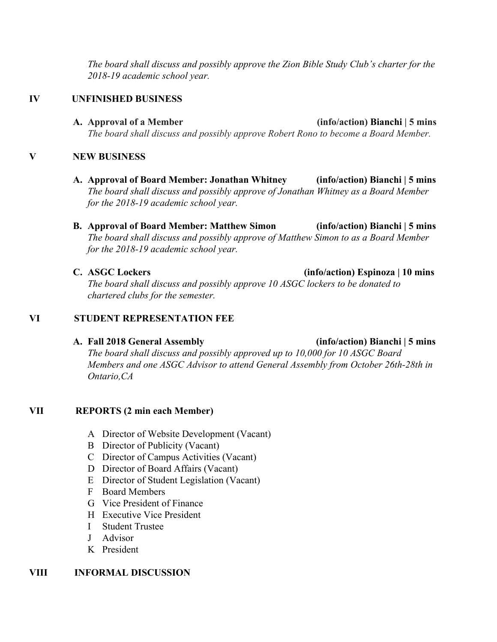*The board shall discuss and possibly approve the Zion Bible Study Club's charter for the 2018-19 academic school year.*

## **IV UNFINISHED BUSINESS**

**A. Approval of a Member (info/action) Bianchi | 5 mins** *The board shall discuss and possibly approve Robert Rono to become a Board Member.*

## **V NEW BUSINESS**

- **A. Approval of Board Member: Jonathan Whitney (info/action) Bianchi | 5 mins** *The board shall discuss and possibly approve of Jonathan Whitney as a Board Member for the 2018-19 academic school year.*
- **B. Approval of Board Member: Matthew Simon (info/action) Bianchi | 5 mins** *The board shall discuss and possibly approve of Matthew Simon to as a Board Member for the 2018-19 academic school year.*
- 

**C. ASGC Lockers (info/action) Espinoza | 10 mins**

*The board shall discuss and possibly approve 10 ASGC lockers to be donated to chartered clubs for the semester.*

## **VI STUDENT REPRESENTATION FEE**

# **A. Fall 2018 General Assembly (info/action) Bianchi | 5 mins** *The board shall discuss and possibly approved up to 10,000 for 10 ASGC Board Members and one ASGC Advisor to attend General Assembly from October 26th-28th in Ontario,CA*

# **VII REPORTS (2 min each Member)**

- A Director of Website Development (Vacant)
- B Director of Publicity (Vacant)
- C Director of Campus Activities (Vacant)
- D Director of Board Affairs (Vacant)
- E Director of Student Legislation (Vacant)
- F Board Members
- G Vice President of Finance
- H Executive Vice President
- I Student Trustee
- J Advisor
- K President

## **VIII INFORMAL DISCUSSION**